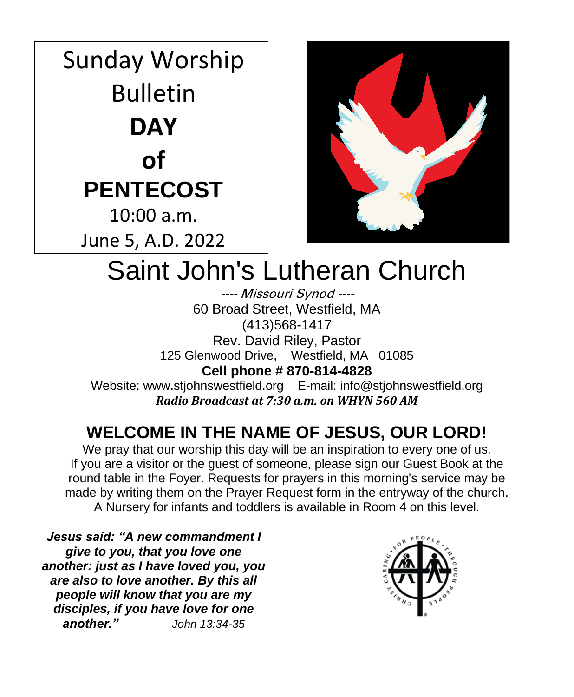# Sunday Worship Bulletin **DAY of PENTECOST** 10:00 a.m. June 5, A.D. 2022



# Saint John's Lutheran Church

---- Missouri Synod ---- 60 Broad Street, Westfield, MA (413)568-1417 Rev. David Riley, Pastor 125 Glenwood Drive, Westfield, MA 01085 **Cell phone # 870-814-4828** Website: www.stjohnswestfield.org E-mail: info@stjohnswestfield.org *Radio Broadcast at 7:30 a.m. on WHYN 560 AM*

# **WELCOME IN THE NAME OF JESUS, OUR LORD!**

We pray that our worship this day will be an inspiration to every one of us. If you are a visitor or the guest of someone, please sign our Guest Book at the round table in the Foyer. Requests for prayers in this morning's service may be made by writing them on the Prayer Request form in the entryway of the church. A Nursery for infants and toddlers is available in Room 4 on this level.

*Jesus said: "A new commandment I give to you, that you love one another: just as I have loved you, you are also to love another. By this all people will know that you are my disciples, if you have love for one another." John 13:34-35*

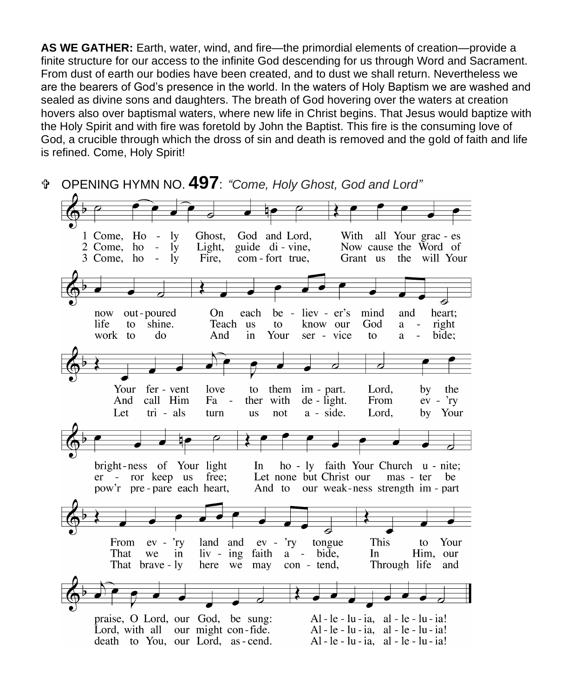**AS WE GATHER:** Earth, water, wind, and fire—the primordial elements of creation—provide a finite structure for our access to the infinite God descending for us through Word and Sacrament. From dust of earth our bodies have been created, and to dust we shall return. Nevertheless we are the bearers of God's presence in the world. In the waters of Holy Baptism we are washed and sealed as divine sons and daughters. The breath of God hovering over the waters at creation hovers also over baptismal waters, where new life in Christ begins. That Jesus would baptize with the Holy Spirit and with fire was foretold by John the Baptist. This fire is the consuming love of God, a crucible through which the dross of sin and death is removed and the gold of faith and life is refined. Come, Holy Spirit!

OPENING HYMN NO. **497**: *"Come, Holy Ghost, God and Lord"*

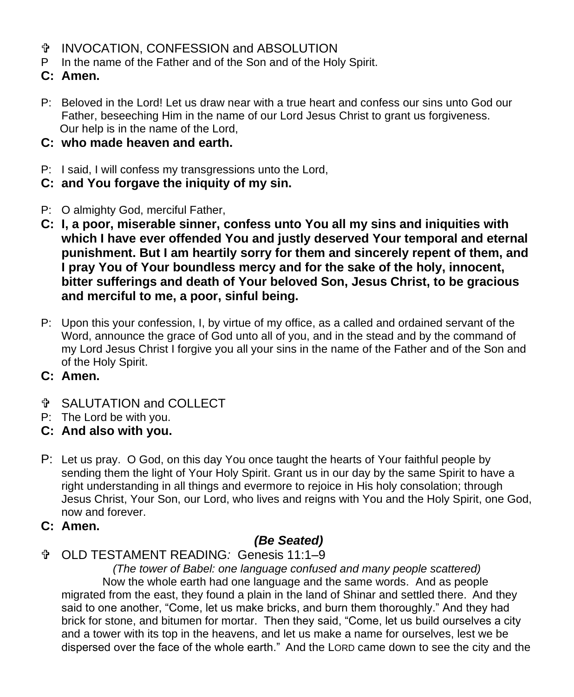- INVOCATION, CONFESSION and ABSOLUTION
- P In the name of the Father and of the Son and of the Holy Spirit.
- **C: Amen.**
- P: Beloved in the Lord! Let us draw near with a true heart and confess our sins unto God our Father, beseeching Him in the name of our Lord Jesus Christ to grant us forgiveness. Our help is in the name of the Lord,
- **C: who made heaven and earth.**
- P: I said, I will confess my transgressions unto the Lord,
- **C: and You forgave the iniquity of my sin.**
- P: O almighty God, merciful Father,
- **C: I, a poor, miserable sinner, confess unto You all my sins and iniquities with which I have ever offended You and justly deserved Your temporal and eternal punishment. But I am heartily sorry for them and sincerely repent of them, and I pray You of Your boundless mercy and for the sake of the holy, innocent, bitter sufferings and death of Your beloved Son, Jesus Christ, to be gracious and merciful to me, a poor, sinful being.**
- P: Upon this your confession, I, by virtue of my office, as a called and ordained servant of the Word, announce the grace of God unto all of you, and in the stead and by the command of my Lord Jesus Christ I forgive you all your sins in the name of the Father and of the Son and of the Holy Spirit.
- **C: Amen.**
- ⊕ SALUTATION and COLLECT
- P: The Lord be with you.
- **C: And also with you.**
- P: Let us pray. O God, on this day You once taught the hearts of Your faithful people by sending them the light of Your Holy Spirit. Grant us in our day by the same Spirit to have a right understanding in all things and evermore to rejoice in His holy consolation; through Jesus Christ, Your Son, our Lord, who lives and reigns with You and the Holy Spirit, one God, now and forever.
- **C: Amen.**

## *(Be Seated)*

OLD TESTAMENT READING*:* Genesis 11:1–9

*(The tower of Babel: one language confused and many people scattered)* Now the whole earth had one language and the same words. And as people migrated from the east, they found a plain in the land of Shinar and settled there. And they said to one another, "Come, let us make bricks, and burn them thoroughly." And they had brick for stone, and bitumen for mortar. Then they said, "Come, let us build ourselves a city and a tower with its top in the heavens, and let us make a name for ourselves, lest we be dispersed over the face of the whole earth." And the LORD came down to see the city and the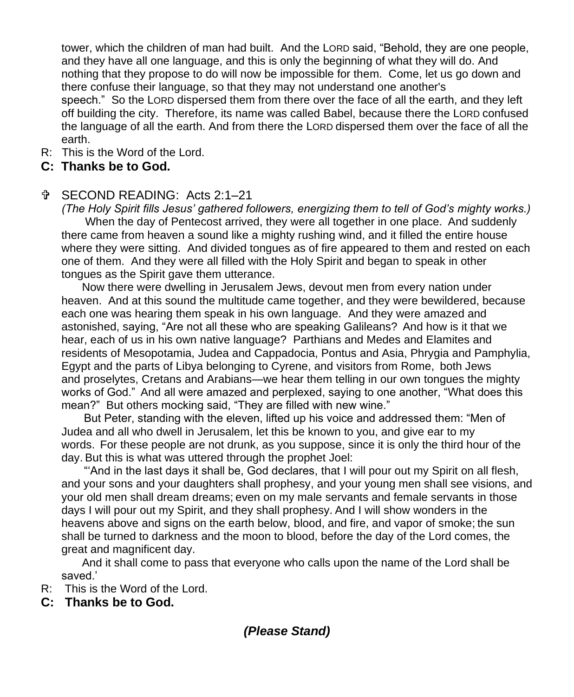tower, which the children of man had built. And the LORD said, "Behold, they are one people, and they have all one language, and this is only the beginning of what they will do. And nothing that they propose to do will now be impossible for them. Come, let us go down and there confuse their language, so that they may not understand one another's speech." So the LORD dispersed them from there over the face of all the earth, and they left off building the city. Therefore, its name was called Babel, because there the LORD confused the language of all the earth. And from there the LORD dispersed them over the face of all the earth.

R: This is the Word of the Lord.

#### **C: Thanks be to God.**

#### SECOND READING: Acts 2:1–21

*(The Holy Spirit fills Jesus' gathered followers, energizing them to tell of God's mighty works.)* When the day of Pentecost arrived, they were all together in one place. And suddenly there came from heaven a sound like a mighty rushing wind, and it filled the entire house where they were sitting. And divided tongues as of fire appeared to them and rested on each one of them. And they were all filled with the Holy Spirit and began to speak in other tongues as the Spirit gave them utterance.

Now there were dwelling in Jerusalem Jews, devout men from every nation under heaven. And at this sound the multitude came together, and they were bewildered, because each one was hearing them speak in his own language. And they were amazed and astonished, saying, "Are not all these who are speaking Galileans? And how is it that we hear, each of us in his own native language? Parthians and Medes and Elamites and residents of Mesopotamia, Judea and Cappadocia, Pontus and Asia, Phrygia and Pamphylia, Egypt and the parts of Libya belonging to Cyrene, and visitors from Rome, both Jews and proselytes, Cretans and Arabians—we hear them telling in our own tongues the mighty works of God." And all were amazed and perplexed, saying to one another, "What does this mean?" But others mocking said, "They are filled with new wine."

But Peter, standing with the eleven, lifted up his voice and addressed them: "Men of Judea and all who dwell in Jerusalem, let this be known to you, and give ear to my words. For these people are not drunk, as you suppose, since it is only the third hour of the day. But this is what was uttered through the prophet Joel:

"'And in the last days it shall be, God declares, that I will pour out my Spirit on all flesh, and your sons and your daughters shall prophesy, and your young men shall see visions, and your old men shall dream dreams; even on my male servants and female servants in those days I will pour out my Spirit, and they shall prophesy. And I will show wonders in the heavens above and signs on the earth below, blood, and fire, and vapor of smoke; the sun shall be turned to darkness and the moon to blood, before the day of the Lord comes, the great and magnificent day.

And it shall come to pass that everyone who calls upon the name of the Lord shall be saved.'

- R: This is the Word of the Lord.
- **C: Thanks be to God.**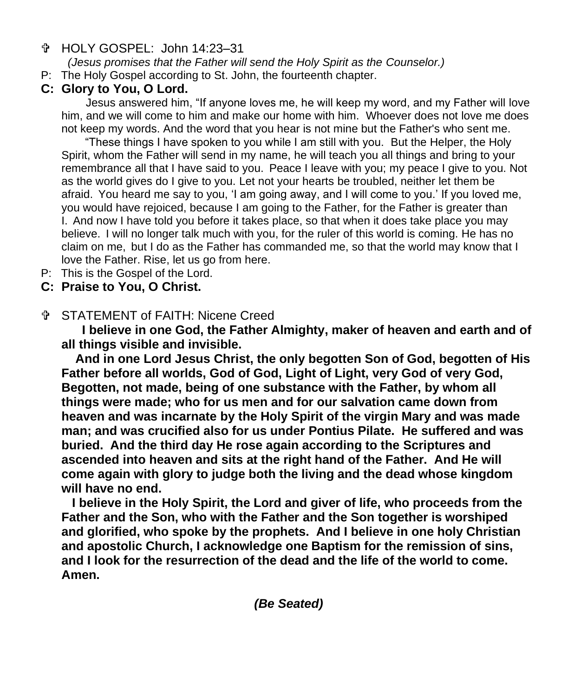HOLY GOSPEL: John 14:23–31

 *(Jesus promises that the Father will send the Holy Spirit as the Counselor.)*

P: The Holy Gospel according to St. John, the fourteenth chapter.

## **C: Glory to You, O Lord.**

Jesus answered him, "If anyone loves me, he will keep my word, and my Father will love him, and we will come to him and make our home with him. Whoever does not love me does not keep my words. And the word that you hear is not mine but the Father's who sent me.

"These things I have spoken to you while I am still with you. But the Helper, the Holy Spirit, whom the Father will send in my name, he will teach you all things and bring to your remembrance all that I have said to you. Peace I leave with you; my peace I give to you. Not as the world gives do I give to you. Let not your hearts be troubled, neither let them be afraid. You heard me say to you, 'I am going away, and I will come to you.' If you loved me, you would have rejoiced, because I am going to the Father, for the Father is greater than I. And now I have told you before it takes place, so that when it does take place you may believe. I will no longer talk much with you, for the ruler of this world is coming. He has no claim on me, but I do as the Father has commanded me, so that the world may know that I love the Father. Rise, let us go from here.

P: This is the Gospel of the Lord.

## **C: Praise to You, O Christ.**

## STATEMENT of FAITH: Nicene Creed

**I believe in one God, the Father Almighty, maker of heaven and earth and of all things visible and invisible.**

 **And in one Lord Jesus Christ, the only begotten Son of God, begotten of His Father before all worlds, God of God, Light of Light, very God of very God, Begotten, not made, being of one substance with the Father, by whom all things were made; who for us men and for our salvation came down from heaven and was incarnate by the Holy Spirit of the virgin Mary and was made man; and was crucified also for us under Pontius Pilate. He suffered and was buried. And the third day He rose again according to the Scriptures and ascended into heaven and sits at the right hand of the Father. And He will come again with glory to judge both the living and the dead whose kingdom will have no end.**

 **I believe in the Holy Spirit, the Lord and giver of life, who proceeds from the Father and the Son, who with the Father and the Son together is worshiped and glorified, who spoke by the prophets. And I believe in one holy Christian and apostolic Church, I acknowledge one Baptism for the remission of sins, and I look for the resurrection of the dead and the life of the world to come. Amen.**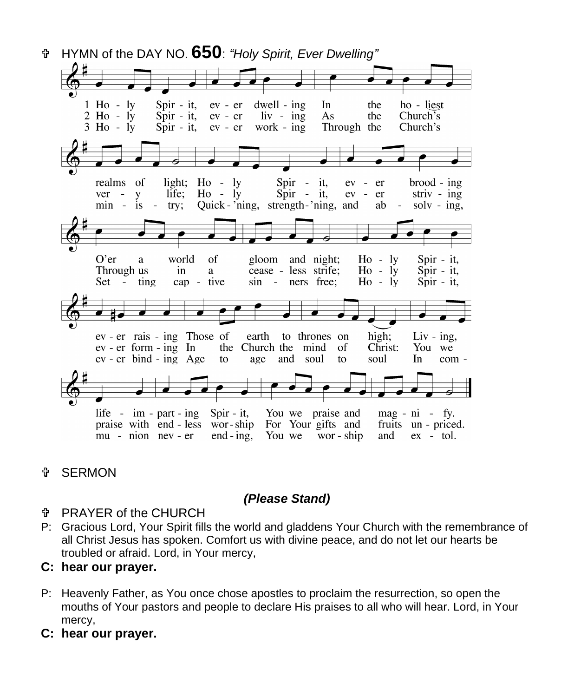

ิษิ SERMON

#### *(Please Stand)*

- PRAYER of the CHURCH
- P: Gracious Lord, Your Spirit fills the world and gladdens Your Church with the remembrance of all Christ Jesus has spoken. Comfort us with divine peace, and do not let our hearts be troubled or afraid. Lord, in Your mercy,
- **C: hear our prayer.**
- P: Heavenly Father, as You once chose apostles to proclaim the resurrection, so open the mouths of Your pastors and people to declare His praises to all who will hear. Lord, in Your mercy,
- **C: hear our prayer.**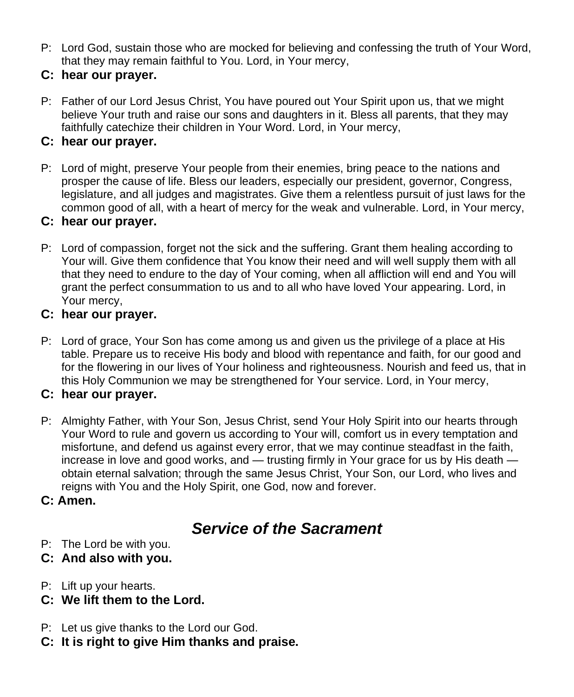P: Lord God, sustain those who are mocked for believing and confessing the truth of Your Word, that they may remain faithful to You. Lord, in Your mercy,

#### **C: hear our prayer.**

P: Father of our Lord Jesus Christ, You have poured out Your Spirit upon us, that we might believe Your truth and raise our sons and daughters in it. Bless all parents, that they may faithfully catechize their children in Your Word. Lord, in Your mercy,

#### **C: hear our prayer.**

P: Lord of might, preserve Your people from their enemies, bring peace to the nations and prosper the cause of life. Bless our leaders, especially our president, governor, Congress, legislature, and all judges and magistrates. Give them a relentless pursuit of just laws for the common good of all, with a heart of mercy for the weak and vulnerable. Lord, in Your mercy,

#### **C: hear our prayer.**

P: Lord of compassion, forget not the sick and the suffering. Grant them healing according to Your will. Give them confidence that You know their need and will well supply them with all that they need to endure to the day of Your coming, when all affliction will end and You will grant the perfect consummation to us and to all who have loved Your appearing. Lord, in Your mercy,

#### **C: hear our prayer.**

P: Lord of grace, Your Son has come among us and given us the privilege of a place at His table. Prepare us to receive His body and blood with repentance and faith, for our good and for the flowering in our lives of Your holiness and righteousness. Nourish and feed us, that in this Holy Communion we may be strengthened for Your service. Lord, in Your mercy,

#### **C: hear our prayer.**

P: Almighty Father, with Your Son, Jesus Christ, send Your Holy Spirit into our hearts through Your Word to rule and govern us according to Your will, comfort us in every temptation and misfortune, and defend us against every error, that we may continue steadfast in the faith, increase in love and good works, and — trusting firmly in Your grace for us by His death obtain eternal salvation; through the same Jesus Christ, Your Son, our Lord, who lives and reigns with You and the Holy Spirit, one God, now and forever.

#### **C: Amen.**

# *Service of the Sacrament*

- P: The Lord be with you.
- **C: And also with you.**
- P: Lift up your hearts.
- **C: We lift them to the Lord.**
- P: Let us give thanks to the Lord our God.
- **C: It is right to give Him thanks and praise.**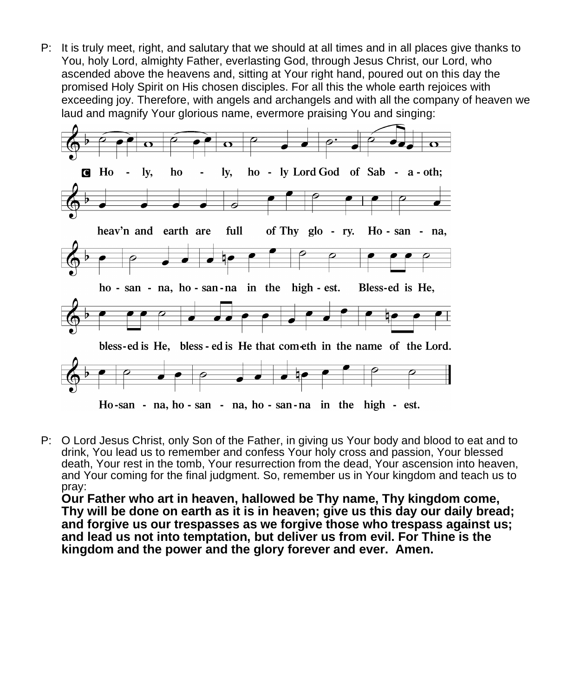P: It is truly meet, right, and salutary that we should at all times and in all places give thanks to You, holy Lord, almighty Father, everlasting God, through Jesus Christ, our Lord, who ascended above the heavens and, sitting at Your right hand, poured out on this day the promised Holy Spirit on His chosen disciples. For all this the whole earth rejoices with exceeding joy. Therefore, with angels and archangels and with all the company of heaven we laud and magnify Your glorious name, evermore praising You and singing:



P: O Lord Jesus Christ, only Son of the Father, in giving us Your body and blood to eat and to drink, You lead us to remember and confess Your holy cross and passion, Your blessed death, Your rest in the tomb, Your resurrection from the dead, Your ascension into heaven, and Your coming for the final judgment. So, remember us in Your kingdom and teach us to pray:

**Our Father who art in heaven, hallowed be Thy name, Thy kingdom come, Thy will be done on earth as it is in heaven; give us this day our daily bread; and forgive us our trespasses as we forgive those who trespass against us; and lead us not into temptation, but deliver us from evil. For Thine is the kingdom and the power and the glory forever and ever. Amen.**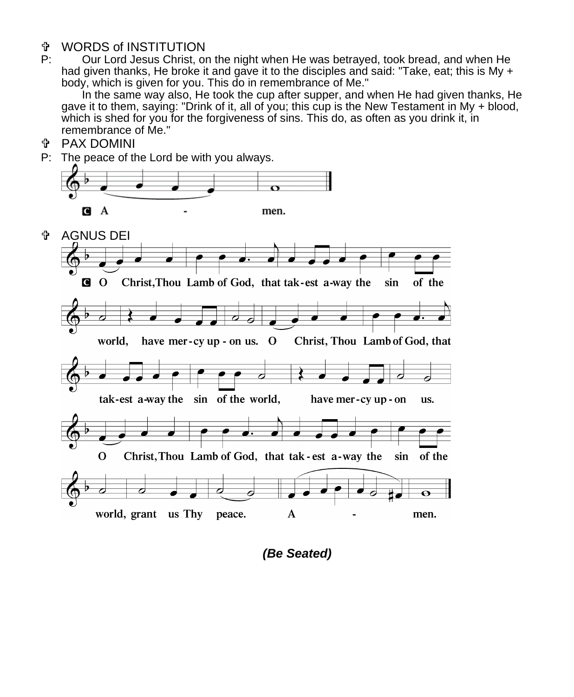# \$ WORDS of INSTITUTION<br>P: Our Lord Jesus Christ, or

Our Lord Jesus Christ, on the night when He was betrayed, took bread, and when He had given thanks, He broke it and gave it to the disciples and said: "Take, eat; this is My + body, which is given for you. This do in remembrance of Me."

In the same way also, He took the cup after supper, and when He had given thanks, He gave it to them, saying: "Drink of it, all of you; this cup is the New Testament in My + blood, which is shed for you for the forgiveness of sins. This do, as often as you drink it, in remembrance of Me."

- PAX DOMINI
- P: The peace of the Lord be with you always.



*(Be Seated)*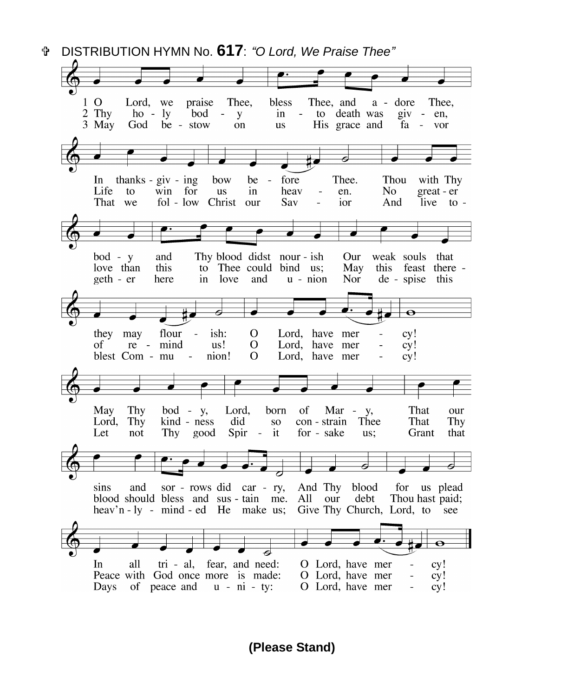DISTRIBUTION HYMN No. **617**: *"O Lord, We Praise Thee"*

 $1\Omega$ Lord, we praise Thee, bless Thee, and a - dore Thee, 2 Thy  $ho - ly$ - to death was bod y in  $giv - en$ , 3 May God be - stow His grace and fa - vor on **us** In thanks -  $giv - ing$ fore Thee. Thou with Thy bow be Life to win for us in heav en. No great - er fol - low Christ our ior live to -That we Sav And Thy blood didst nour - ish weak souls that  $bod - y$ and Our love than this to Thee could bind us; May this feast there geth - er here in love and  $u - ni$ Nor de - spise this  $\overline{\bullet}$ flour  $$ ish:  $\mathbf{O}$ Lord, have mer they may cy! of re - mind us! O Lord, have mer cy! blest Com - mu nion!  $\mathbf{O}$ Lord, have mer  $cy!$ Thy  $bod - y$ , Lord, of That May born  $Mar - y$ , our Lord, con-strain Thee Thy kind - ness did  ${\bf SO}$ That Thy Thy good Spir - it for - sake Let not us; Grant that sor - rows did car - ry, And Thy sins blood for us plead and blood should bless and sus - tain me. All our debt Thou hast paid; heav'n-ly - mind-ed He make us; Give Thy Church, Lord, to see O Lord, have mer In tri - al, fear, and need: cy! all Peace with God once more is made: O Lord, have mer cy! Days of peace and  $u - ni - ty$ : O Lord, have mer cy!

**(Please Stand)**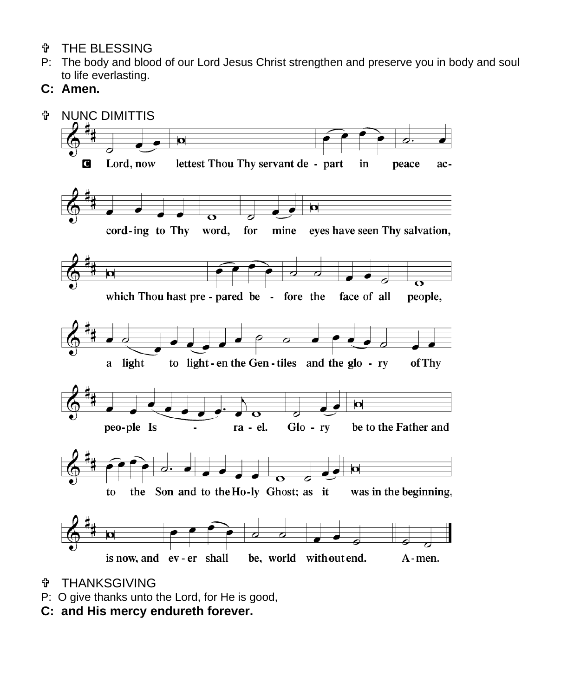- *⊕* THE BLESSING
- P: The body and blood of our Lord Jesus Christ strengthen and preserve you in body and soul to life everlasting.
- **C: Amen.**



- THANKSGIVING
- P: O give thanks unto the Lord, for He is good,
- **C: and His mercy endureth forever.**